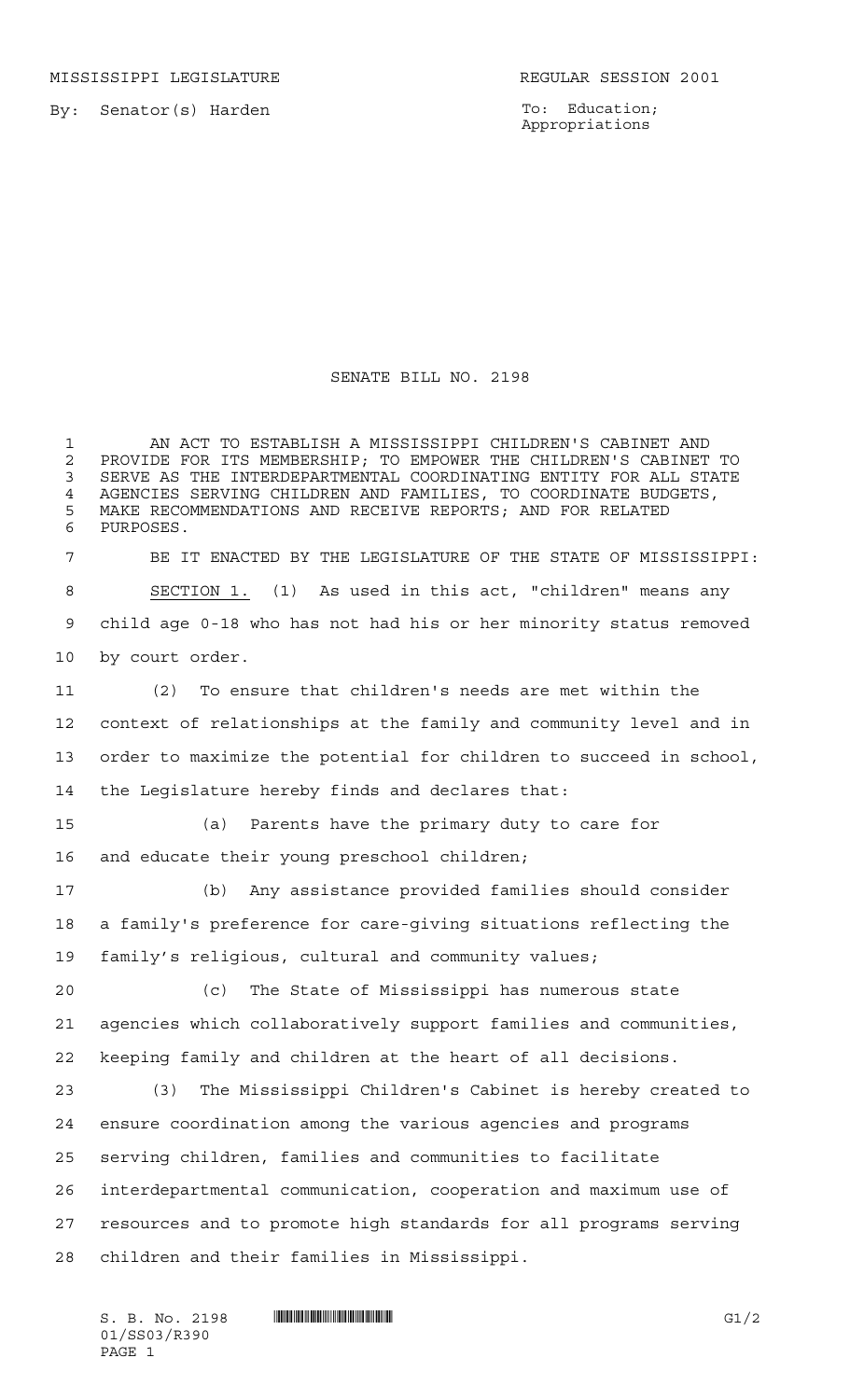MISSISSIPPI LEGISLATURE **REGULAR SESSION 2001** 

By: Senator(s) Harden

To: Education; Appropriations

## SENATE BILL NO. 2198

 AN ACT TO ESTABLISH A MISSISSIPPI CHILDREN'S CABINET AND 2 PROVIDE FOR ITS MEMBERSHIP; TO EMPOWER THE CHILDREN'S CABINET TO<br>3 SERVE AS THE INTERDEPARTMENTAL COORDINATING ENTITY FOR ALL STATE SERVE AS THE INTERDEPARTMENTAL COORDINATING ENTITY FOR ALL STATE 4 AGENCIES SERVING CHILDREN AND FAMILIES, TO COORDINATE BUDGETS,<br>5 MAKE RECOMMENDATIONS AND RECEIVE REPORTS: AND FOR RELATED MAKE RECOMMENDATIONS AND RECEIVE REPORTS; AND FOR RELATED PURPOSES. BE IT ENACTED BY THE LEGISLATURE OF THE STATE OF MISSISSIPPI: SECTION 1. (1) As used in this act, "children" means any child age 0-18 who has not had his or her minority status removed by court order. (2) To ensure that children's needs are met within the context of relationships at the family and community level and in order to maximize the potential for children to succeed in school, the Legislature hereby finds and declares that: (a) Parents have the primary duty to care for and educate their young preschool children; (b) Any assistance provided families should consider a family's preference for care-giving situations reflecting the family's religious, cultural and community values; (c) The State of Mississippi has numerous state agencies which collaboratively support families and communities, keeping family and children at the heart of all decisions. (3) The Mississippi Children's Cabinet is hereby created to ensure coordination among the various agencies and programs serving children, families and communities to facilitate interdepartmental communication, cooperation and maximum use of resources and to promote high standards for all programs serving children and their families in Mississippi.

01/SS03/R390 PAGE 1

S. B. No. 2198 \*SS03/R390\* G1/2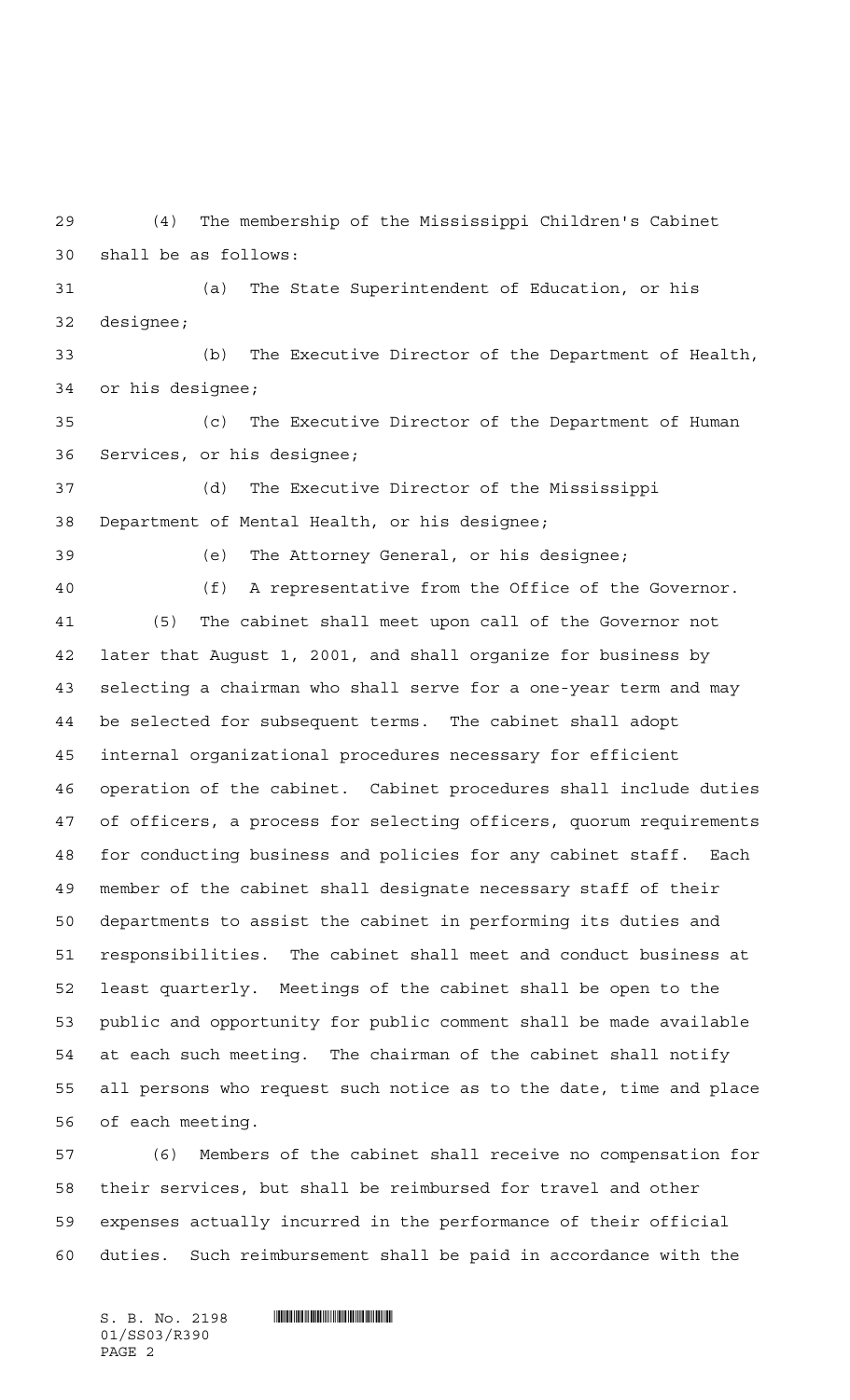(4) The membership of the Mississippi Children's Cabinet shall be as follows:

 (a) The State Superintendent of Education, or his designee;

 (b) The Executive Director of the Department of Health, or his designee;

 (c) The Executive Director of the Department of Human Services, or his designee;

 (d) The Executive Director of the Mississippi Department of Mental Health, or his designee;

(e) The Attorney General, or his designee;

 (f) A representative from the Office of the Governor. (5) The cabinet shall meet upon call of the Governor not later that August 1, 2001, and shall organize for business by selecting a chairman who shall serve for a one-year term and may be selected for subsequent terms. The cabinet shall adopt internal organizational procedures necessary for efficient operation of the cabinet. Cabinet procedures shall include duties of officers, a process for selecting officers, quorum requirements for conducting business and policies for any cabinet staff. Each member of the cabinet shall designate necessary staff of their departments to assist the cabinet in performing its duties and responsibilities. The cabinet shall meet and conduct business at least quarterly. Meetings of the cabinet shall be open to the public and opportunity for public comment shall be made available at each such meeting. The chairman of the cabinet shall notify all persons who request such notice as to the date, time and place of each meeting.

 (6) Members of the cabinet shall receive no compensation for their services, but shall be reimbursed for travel and other expenses actually incurred in the performance of their official duties. Such reimbursement shall be paid in accordance with the

 $S.$  B. No. 2198  $\blacksquare$ 01/SS03/R390 PAGE 2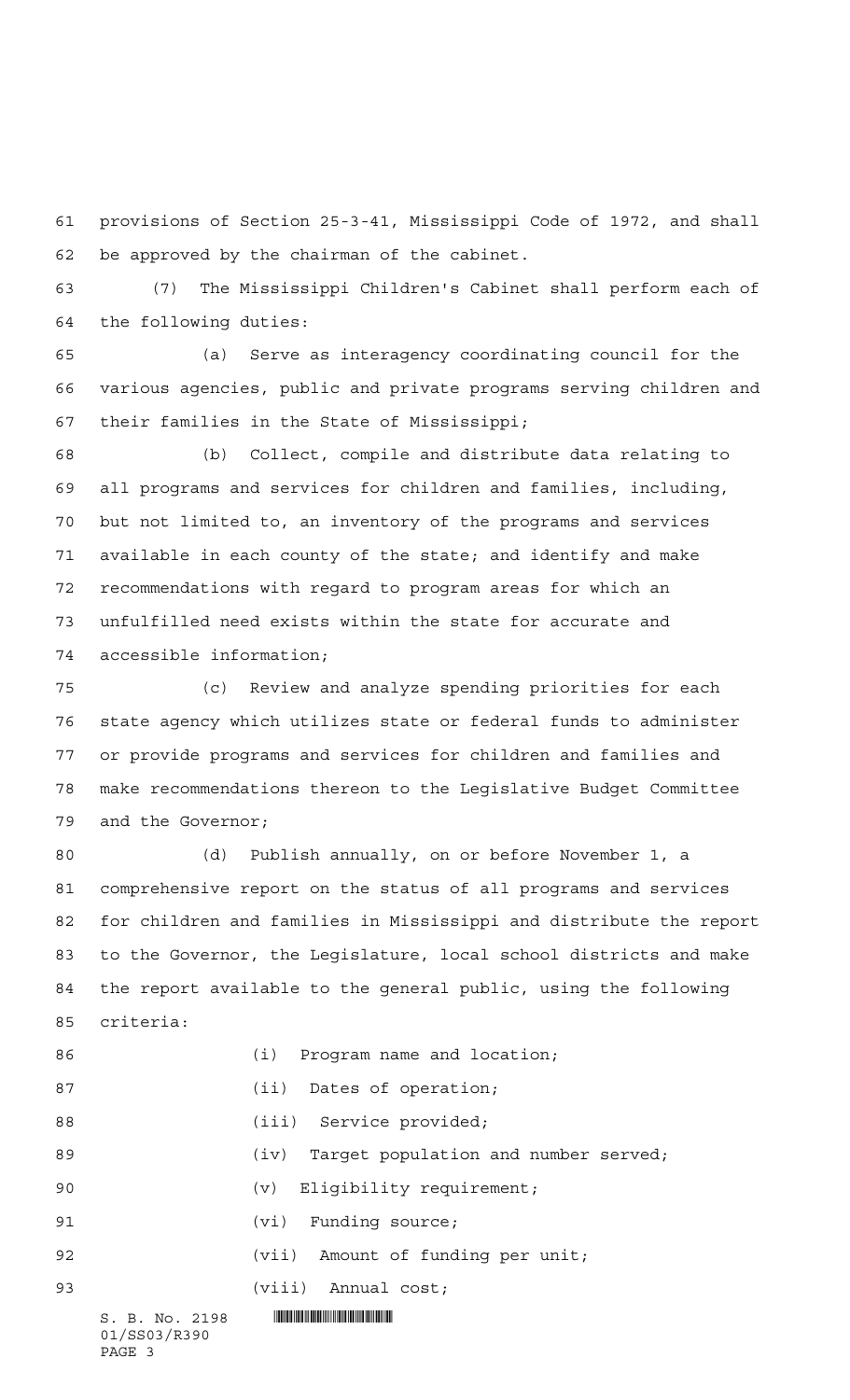provisions of Section 25-3-41, Mississippi Code of 1972, and shall be approved by the chairman of the cabinet.

 (7) The Mississippi Children's Cabinet shall perform each of the following duties:

 (a) Serve as interagency coordinating council for the various agencies, public and private programs serving children and their families in the State of Mississippi;

 (b) Collect, compile and distribute data relating to all programs and services for children and families, including, but not limited to, an inventory of the programs and services available in each county of the state; and identify and make recommendations with regard to program areas for which an unfulfilled need exists within the state for accurate and accessible information;

 (c) Review and analyze spending priorities for each state agency which utilizes state or federal funds to administer or provide programs and services for children and families and make recommendations thereon to the Legislative Budget Committee and the Governor;

 (d) Publish annually, on or before November 1, a comprehensive report on the status of all programs and services for children and families in Mississippi and distribute the report to the Governor, the Legislature, local school districts and make the report available to the general public, using the following criteria:

| 86 |                                          | (i) Program name and location;            |
|----|------------------------------------------|-------------------------------------------|
| 87 |                                          | (ii) Dates of operation;                  |
| 88 |                                          | (iii) Service provided;                   |
| 89 |                                          | (iv) Target population and number served; |
| 90 |                                          | (v) Eligibility requirement;              |
| 91 |                                          | $(vi)$ Funding source;                    |
| 92 |                                          | (vii) Amount of funding per unit;         |
| 93 |                                          | (viii) Annual cost;                       |
|    | S. B. No. 2198<br>01/SS03/R390<br>PAGE 3 |                                           |